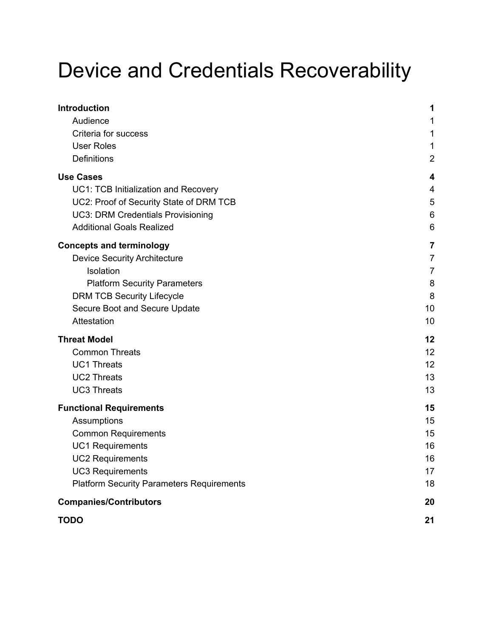# Device and Credentials Recoverability

| <b>Introduction</b>                              | 1              |
|--------------------------------------------------|----------------|
| Audience                                         | 1              |
| Criteria for success                             | 1              |
| <b>User Roles</b>                                | 1              |
| Definitions                                      | $\overline{2}$ |
| <b>Use Cases</b>                                 | 4              |
| UC1: TCB Initialization and Recovery             | 4              |
| UC2: Proof of Security State of DRM TCB          | 5              |
| <b>UC3: DRM Credentials Provisioning</b>         | 6              |
| <b>Additional Goals Realized</b>                 | 6              |
| <b>Concepts and terminology</b>                  | $\overline{7}$ |
| <b>Device Security Architecture</b>              | $\overline{7}$ |
| Isolation                                        | $\overline{7}$ |
| <b>Platform Security Parameters</b>              | 8              |
| <b>DRM TCB Security Lifecycle</b>                | 8              |
| Secure Boot and Secure Update                    | 10             |
| Attestation                                      | 10             |
| <b>Threat Model</b>                              | 12             |
| <b>Common Threats</b>                            | 12             |
| <b>UC1 Threats</b>                               | 12             |
| <b>UC2 Threats</b>                               | 13             |
| <b>UC3 Threats</b>                               | 13             |
| <b>Functional Requirements</b>                   | 15             |
| Assumptions                                      | 15             |
| <b>Common Requirements</b>                       | 15             |
| <b>UC1 Requirements</b>                          | 16             |
| <b>UC2 Requirements</b>                          | 16             |
| <b>UC3 Requirements</b>                          | 17             |
| <b>Platform Security Parameters Requirements</b> | 18             |
| <b>Companies/Contributors</b>                    | 20             |
| <b>TODO</b>                                      | 21             |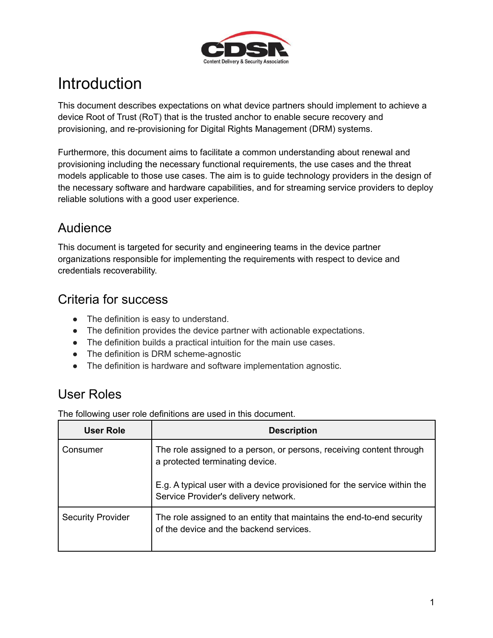

# <span id="page-1-0"></span>**Introduction**

This document describes expectations on what device partners should implement to achieve a device Root of Trust (RoT) that is the trusted anchor to enable secure recovery and provisioning, and re-provisioning for Digital Rights Management (DRM) systems.

Furthermore, this document aims to facilitate a common understanding about renewal and provisioning including the necessary functional requirements, the use cases and the threat models applicable to those use cases. The aim is to guide technology providers in the design of the necessary software and hardware capabilities, and for streaming service providers to deploy reliable solutions with a good user experience.

# <span id="page-1-1"></span>Audience

This document is targeted for security and engineering teams in the device partner organizations responsible for implementing the requirements with respect to device and credentials recoverability.

### <span id="page-1-2"></span>Criteria for success

- The definition is easy to understand.
- The definition provides the device partner with actionable expectations.
- The definition builds a practical intuition for the main use cases.
- The definition is DRM scheme-agnostic
- The definition is hardware and software implementation agnostic.

### <span id="page-1-3"></span>User Roles

The following user role definitions are used in this document.

| User Role                | <b>Description</b>                                                                                               |
|--------------------------|------------------------------------------------------------------------------------------------------------------|
| Consumer                 | The role assigned to a person, or persons, receiving content through<br>a protected terminating device.          |
|                          | E.g. A typical user with a device provisioned for the service within the Service Provider's delivery network.    |
| <b>Security Provider</b> | The role assigned to an entity that maintains the end-to-end security<br>of the device and the backend services. |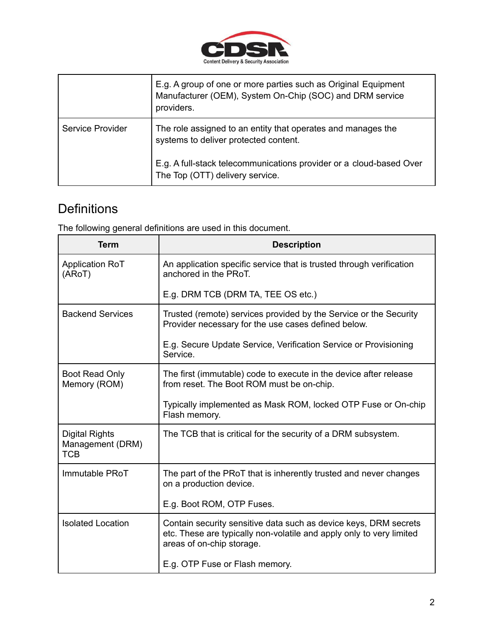

|                  | E.g. A group of one or more parties such as Original Equipment<br>Manufacturer (OEM), System On-Chip (SOC) and DRM service<br>providers. |
|------------------|------------------------------------------------------------------------------------------------------------------------------------------|
| Service Provider | The role assigned to an entity that operates and manages the<br>systems to deliver protected content.                                    |
|                  | E.g. A full-stack telecommunications provider or a cloud-based Over<br>The Top (OTT) delivery service.                                   |

# <span id="page-2-0"></span>**Definitions**

The following general definitions are used in this document.

| <b>Term</b>                                             | <b>Description</b>                                                                                                                                                    |
|---------------------------------------------------------|-----------------------------------------------------------------------------------------------------------------------------------------------------------------------|
| <b>Application RoT</b><br>(ARoT)                        | An application specific service that is trusted through verification<br>anchored in the PRoT.                                                                         |
|                                                         | E.g. DRM TCB (DRM TA, TEE OS etc.)                                                                                                                                    |
| <b>Backend Services</b>                                 | Trusted (remote) services provided by the Service or the Security<br>Provider necessary for the use cases defined below.                                              |
|                                                         | E.g. Secure Update Service, Verification Service or Provisioning<br>Service.                                                                                          |
| Boot Read Only<br>Memory (ROM)                          | The first (immutable) code to execute in the device after release<br>from reset. The Boot ROM must be on-chip.                                                        |
|                                                         | Typically implemented as Mask ROM, locked OTP Fuse or On-chip<br>Flash memory.                                                                                        |
| <b>Digital Rights</b><br>Management (DRM)<br><b>TCB</b> | The TCB that is critical for the security of a DRM subsystem.                                                                                                         |
| Immutable PRoT                                          | The part of the PRoT that is inherently trusted and never changes<br>on a production device.                                                                          |
|                                                         | E.g. Boot ROM, OTP Fuses.                                                                                                                                             |
| <b>Isolated Location</b>                                | Contain security sensitive data such as device keys, DRM secrets<br>etc. These are typically non-volatile and apply only to very limited<br>areas of on-chip storage. |
|                                                         | E.g. OTP Fuse or Flash memory.                                                                                                                                        |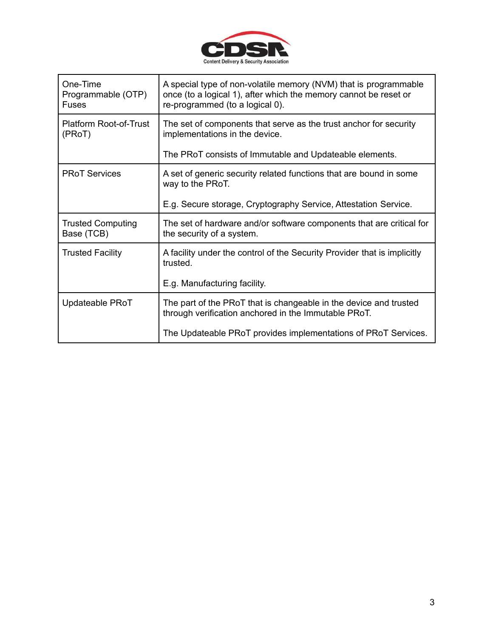

| One-Time<br>Programmable (OTP)<br><b>Fuses</b> | A special type of non-volatile memory (NVM) that is programmable<br>once (to a logical 1), after which the memory cannot be reset or<br>re-programmed (to a logical 0). |
|------------------------------------------------|-------------------------------------------------------------------------------------------------------------------------------------------------------------------------|
| Platform Root-of-Trust<br>(PRoT)               | The set of components that serve as the trust anchor for security<br>implementations in the device.                                                                     |
|                                                | The PRoT consists of Immutable and Updateable elements.                                                                                                                 |
| <b>PRoT Services</b>                           | A set of generic security related functions that are bound in some<br>way to the PRoT.                                                                                  |
|                                                | E.g. Secure storage, Cryptography Service, Attestation Service.                                                                                                         |
| <b>Trusted Computing</b><br>Base (TCB)         | The set of hardware and/or software components that are critical for<br>the security of a system.                                                                       |
| <b>Trusted Facility</b>                        | A facility under the control of the Security Provider that is implicitly<br>trusted.                                                                                    |
|                                                | E.g. Manufacturing facility.                                                                                                                                            |
| Updateable PRoT                                | The part of the PRoT that is changeable in the device and trusted<br>through verification anchored in the Immutable PRoT.                                               |
|                                                | The Updateable PRoT provides implementations of PRoT Services.                                                                                                          |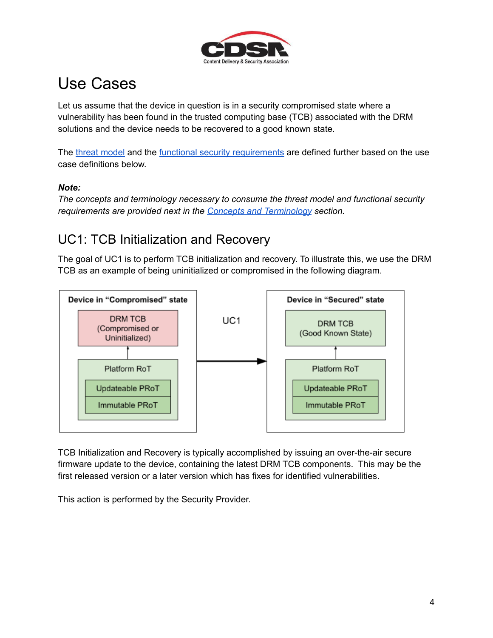

# <span id="page-4-0"></span>Use Cases

Let us assume that the device in question is in a security compromised state where a vulnerability has been found in the trusted computing base (TCB) associated with the DRM solutions and the device needs to be recovered to a good known state.

The threat [model](#page-12-0) and the functional security [requirements](#page-15-0) are defined further based on the use case definitions below.

#### *Note:*

*The concepts and terminology necessary to consume the threat model and functional security requirements are provided next in the Concepts and [Terminology](#page-7-0) section.*

# <span id="page-4-1"></span>UC1: TCB Initialization and Recovery

The goal of UC1 is to perform TCB initialization and recovery. To illustrate this, we use the DRM TCB as an example of being uninitialized or compromised in the following diagram.



TCB Initialization and Recovery is typically accomplished by issuing an over-the-air secure firmware update to the device, containing the latest DRM TCB components. This may be the first released version or a later version which has fixes for identified vulnerabilities.

This action is performed by the Security Provider.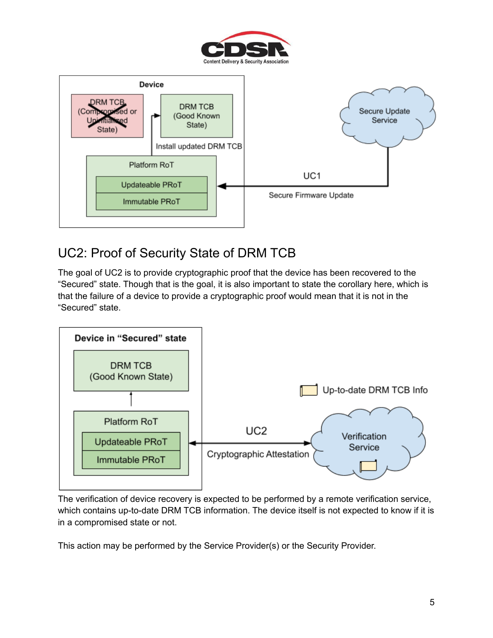



# <span id="page-5-0"></span>UC2: Proof of Security State of DRM TCB

The goal of UC2 is to provide cryptographic proof that the device has been recovered to the "Secured" state. Though that is the goal, it is also important to state the corollary here, which is that the failure of a device to provide a cryptographic proof would mean that it is not in the "Secured" state.



The verification of device recovery is expected to be performed by a remote verification service, which contains up-to-date DRM TCB information. The device itself is not expected to know if it is in a compromised state or not.

This action may be performed by the Service Provider(s) or the Security Provider.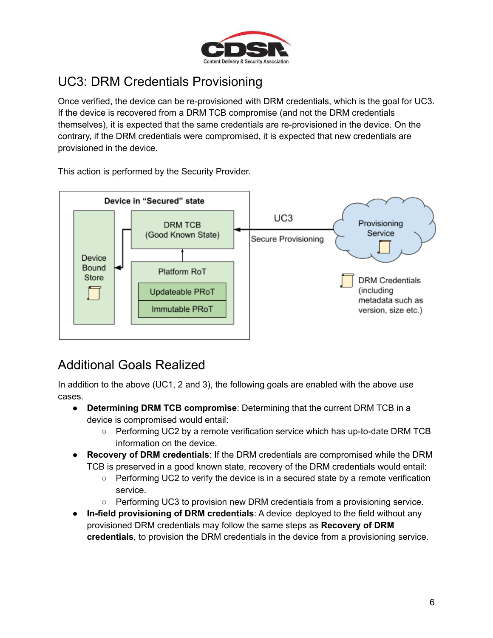

# <span id="page-6-0"></span>UC3: DRM Credentials Provisioning

Once verified, the device can be re-provisioned with DRM credentials, which is the goal for UC3. If the device is recovered from a DRM TCB compromise (and not the DRM credentials themselves), it is expected that the same credentials are re-provisioned in the device. On the contrary, if the DRM credentials were compromised, it is expected that new credentials are provisioned in the device.

This action is performed by the Security Provider.



### <span id="page-6-1"></span>Additional Goals Realized

In addition to the above (UC1, 2 and 3), the following goals are enabled with the above use cases.

- **Determining DRM TCB compromise**: Determining that the current DRM TCB in a device is compromised would entail:
	- Performing UC2 by a remote verification service which has up-to-date DRM TCB information on the device.
- **Recovery of DRM credentials**: If the DRM credentials are compromised while the DRM TCB is preserved in a good known state, recovery of the DRM credentials would entail:
	- $\circ$  Performing UC2 to verify the device is in a secured state by a remote verification service.
	- Performing UC3 to provision new DRM credentials from a provisioning service.
- **In-field provisioning of DRM credentials**: A device deployed to the field without any provisioned DRM credentials may follow the same steps as **Recovery of DRM credentials**, to provision the DRM credentials in the device from a provisioning service.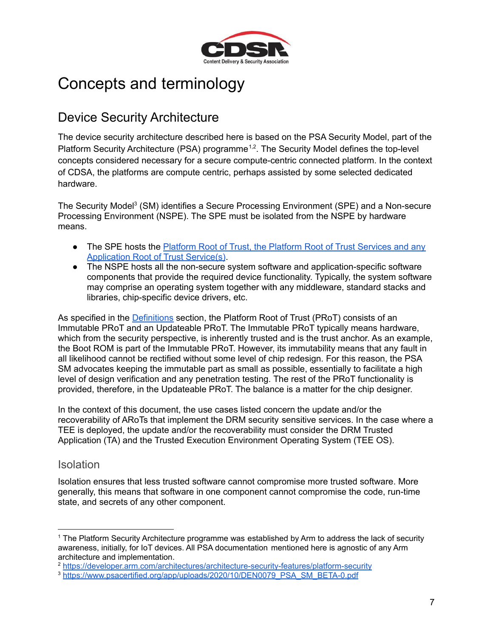

# <span id="page-7-0"></span>Concepts and terminology

### <span id="page-7-1"></span>Device Security Architecture

The device security architecture described here is based on the PSA Security Model, part of the Platform Security Architecture (PSA) programme<sup>1,2</sup>. The Security Model defines the top-level concepts considered necessary for a secure compute-centric connected platform. In the context of CDSA, the platforms are compute centric, perhaps assisted by some selected dedicated hardware.

The Security Model<sup>3</sup> (SM) identifies a Secure Processing Environment (SPE) and a Non-secure Processing Environment (NSPE). The SPE must be isolated from the NSPE by hardware means.

- The SPE hosts the Platform Root of Trust, the Platform Root of Trust [Services](#page-2-0) and any [Application](#page-2-0) Root of Trust Service(s).
- The NSPE hosts all the non-secure system software and application-specific software components that provide the required device functionality. Typically, the system software may comprise an operating system together with any middleware, standard stacks and libraries, chip-specific device drivers, etc.

As specified in the [Definitions](#page-2-0) section, the Platform Root of Trust (PRoT) consists of an Immutable PRoT and an Updateable PRoT. The Immutable PRoT typically means hardware, which from the security perspective, is inherently trusted and is the trust anchor. As an example, the Boot ROM is part of the Immutable PRoT. However, its immutability means that any fault in all likelihood cannot be rectified without some level of chip redesign. For this reason, the PSA SM advocates keeping the immutable part as small as possible, essentially to facilitate a high level of design verification and any penetration testing. The rest of the PRoT functionality is provided, therefore, in the Updateable PRoT. The balance is a matter for the chip designer.

In the context of this document, the use cases listed concern the update and/or the recoverability of ARoTs that implement the DRM security sensitive services. In the case where a TEE is deployed, the update and/or the recoverability must consider the DRM Trusted Application (TA) and the Trusted Execution Environment Operating System (TEE OS).

#### <span id="page-7-2"></span>**Isolation**

Isolation ensures that less trusted software cannot compromise more trusted software. More generally, this means that software in one component cannot compromise the code, run-time state, and secrets of any other component.

<sup>1</sup> The Platform Security Architecture programme was established by Arm to address the lack of security awareness, initially, for IoT devices. All PSA documentation mentioned here is agnostic of any Arm architecture and implementation.

<sup>2</sup> <https://developer.arm.com/architectures/architecture-security-features/platform-security>

<sup>&</sup>lt;sup>3</sup> [https://www.psacertified.org/app/uploads/2020/10/DEN0079\\_PSA\\_SM\\_BETA-0.pdf](https://www.psacertified.org/app/uploads/2020/10/DEN0079_PSA_SM_BETA-0.pdf)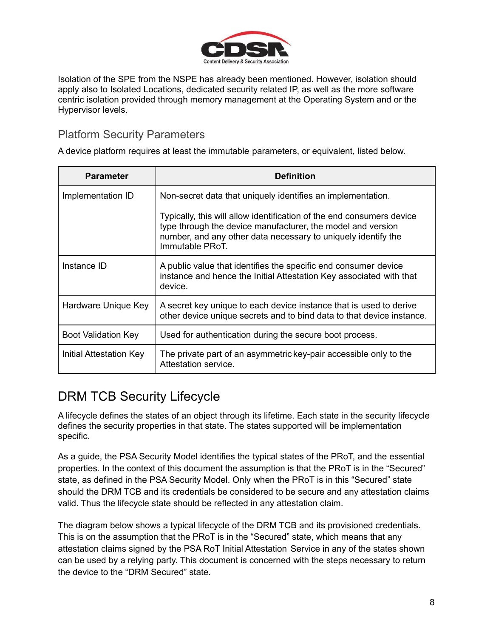

Isolation of the SPE from the NSPE has already been mentioned. However, isolation should apply also to Isolated Locations, dedicated security related IP, as well as the more software centric isolation provided through memory management at the Operating System and or the Hypervisor levels.

#### <span id="page-8-0"></span>Platform Security Parameters

A device platform requires at least the immutable parameters, or equivalent, listed below.

| <b>Parameter</b>        | <b>Definition</b>                                                                                                                                                                                                        |
|-------------------------|--------------------------------------------------------------------------------------------------------------------------------------------------------------------------------------------------------------------------|
| Implementation ID       | Non-secret data that uniquely identifies an implementation.                                                                                                                                                              |
|                         | Typically, this will allow identification of the end consumers device<br>type through the device manufacturer, the model and version<br>number, and any other data necessary to uniquely identify the<br>Immutable PRoT. |
| Instance ID             | A public value that identifies the specific end consumer device<br>instance and hence the Initial Attestation Key associated with that<br>device.                                                                        |
| Hardware Unique Key     | A secret key unique to each device instance that is used to derive<br>other device unique secrets and to bind data to that device instance.                                                                              |
| Boot Validation Key     | Used for authentication during the secure boot process.                                                                                                                                                                  |
| Initial Attestation Key | The private part of an asymmetric key-pair accessible only to the<br>Attestation service.                                                                                                                                |

### <span id="page-8-1"></span>DRM TCB Security Lifecycle

A lifecycle defines the states of an object through its lifetime. Each state in the security lifecycle defines the security properties in that state. The states supported will be implementation specific.

As a guide, the PSA Security Model identifies the typical states of the PRoT, and the essential properties. In the context of this document the assumption is that the PRoT is in the "Secured" state, as defined in the PSA Security Model. Only when the PRoT is in this "Secured" state should the DRM TCB and its credentials be considered to be secure and any attestation claims valid. Thus the lifecycle state should be reflected in any attestation claim.

The diagram below shows a typical lifecycle of the DRM TCB and its provisioned credentials. This is on the assumption that the PRoT is in the "Secured" state, which means that any attestation claims signed by the PSA RoT Initial Attestation Service in any of the states shown can be used by a relying party. This document is concerned with the steps necessary to return the device to the "DRM Secured" state.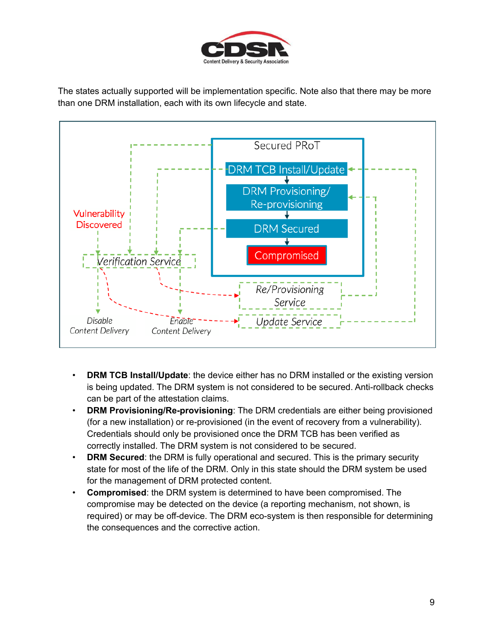

The states actually supported will be implementation specific. Note also that there may be more than one DRM installation, each with its own lifecycle and state.



- **DRM TCB Install/Update**: the device either has no DRM installed or the existing version is being updated. The DRM system is not considered to be secured. Anti-rollback checks can be part of the attestation claims.
- **DRM Provisioning/Re-provisioning**: The DRM credentials are either being provisioned (for a new installation) or re-provisioned (in the event of recovery from a vulnerability). Credentials should only be provisioned once the DRM TCB has been verified as correctly installed. The DRM system is not considered to be secured.
- **DRM Secured**: the DRM is fully operational and secured. This is the primary security state for most of the life of the DRM. Only in this state should the DRM system be used for the management of DRM protected content.
- **Compromised**: the DRM system is determined to have been compromised. The compromise may be detected on the device (a reporting mechanism, not shown, is required) or may be off-device. The DRM eco-system is then responsible for determining the consequences and the corrective action.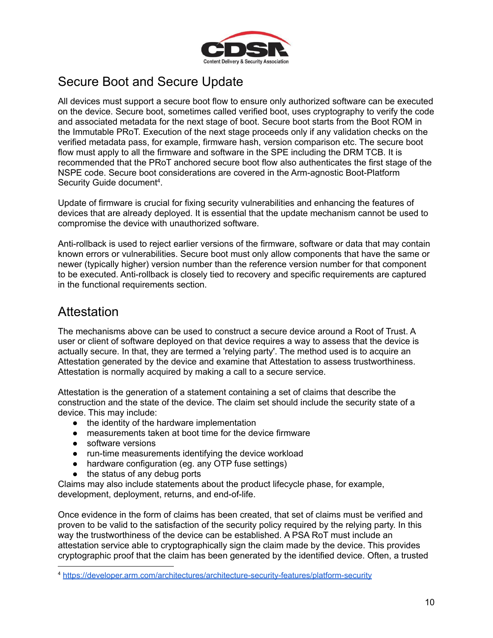

### <span id="page-10-0"></span>Secure Boot and Secure Update

All devices must support a secure boot flow to ensure only authorized software can be executed on the device. Secure boot, sometimes called verified boot, uses cryptography to verify the code and associated metadata for the next stage of boot. Secure boot starts from the Boot ROM in the Immutable PRoT. Execution of the next stage proceeds only if any validation checks on the verified metadata pass, for example, firmware hash, version comparison etc. The secure boot flow must apply to all the firmware and software in the SPE including the DRM TCB. It is recommended that the PRoT anchored secure boot flow also authenticates the first stage of the NSPE code. Secure boot considerations are covered in the Arm-agnostic Boot-Platform Security Guide document<sup>4</sup>.

Update of firmware is crucial for fixing security vulnerabilities and enhancing the features of devices that are already deployed. It is essential that the update mechanism cannot be used to compromise the device with unauthorized software.

Anti-rollback is used to reject earlier versions of the firmware, software or data that may contain known errors or vulnerabilities. Secure boot must only allow components that have the same or newer (typically higher) version number than the reference version number for that component to be executed. Anti-rollback is closely tied to recovery and specific requirements are captured in the functional requirements section.

### <span id="page-10-1"></span>**Attestation**

The mechanisms above can be used to construct a secure device around a Root of Trust. A user or client of software deployed on that device requires a way to assess that the device is actually secure. In that, they are termed a 'relying party'. The method used is to acquire an Attestation generated by the device and examine that Attestation to assess trustworthiness. Attestation is normally acquired by making a call to a secure service.

Attestation is the generation of a statement containing a set of claims that describe the construction and the state of the device. The claim set should include the security state of a device. This may include:

- the identity of the hardware implementation
- measurements taken at boot time for the device firmware
- software versions
- run-time measurements identifying the device workload
- hardware configuration (eg. any OTP fuse settings)
- the status of any debug ports

Claims may also include statements about the product lifecycle phase, for example, development, deployment, returns, and end-of-life.

Once evidence in the form of claims has been created, that set of claims must be verified and proven to be valid to the satisfaction of the security policy required by the relying party. In this way the trustworthiness of the device can be established. A PSA RoT must include an attestation service able to cryptographically sign the claim made by the device. This provides cryptographic proof that the claim has been generated by the identified device. Often, a trusted

<sup>4</sup> <https://developer.arm.com/architectures/architecture-security-features/platform-security>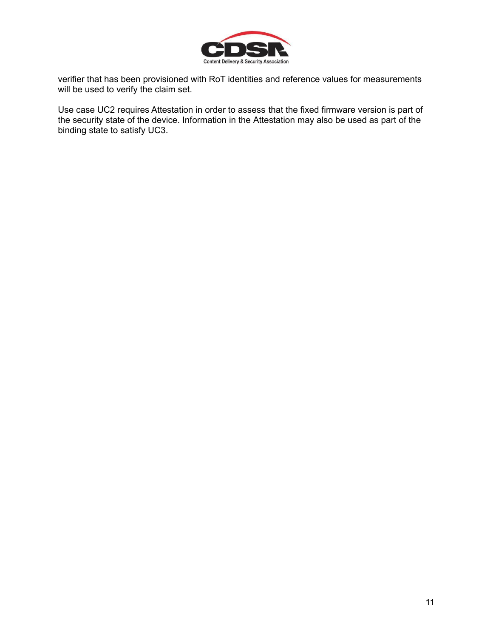

verifier that has been provisioned with RoT identities and reference values for measurements will be used to verify the claim set.

Use case UC2 requires Attestation in order to assess that the fixed firmware version is part of the security state of the device. Information in the Attestation may also be used as part of the binding state to satisfy UC3.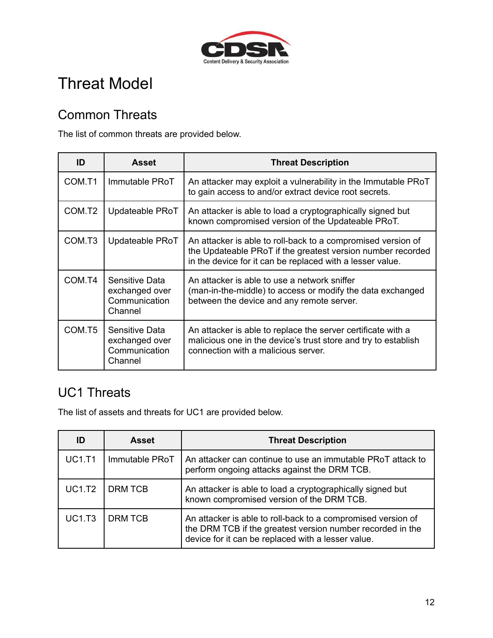

# <span id="page-12-0"></span>Threat Model

### <span id="page-12-1"></span>Common Threats

The list of common threats are provided below.

| ID                 | <b>Asset</b>                                                 | <b>Threat Description</b>                                                                                                                                                                |
|--------------------|--------------------------------------------------------------|------------------------------------------------------------------------------------------------------------------------------------------------------------------------------------------|
| COM.T1             | Immutable PRoT                                               | An attacker may exploit a vulnerability in the Immutable PRoT<br>to gain access to and/or extract device root secrets.                                                                   |
| COM.T <sub>2</sub> | Updateable PRoT                                              | An attacker is able to load a cryptographically signed but<br>known compromised version of the Updateable PRoT.                                                                          |
| COM.T <sub>3</sub> | Updateable PRoT                                              | An attacker is able to roll-back to a compromised version of<br>the Updateable PRoT if the greatest version number recorded<br>in the device for it can be replaced with a lesser value. |
| COM.T4             | Sensitive Data<br>exchanged over<br>Communication<br>Channel | An attacker is able to use a network sniffer<br>(man-in-the-middle) to access or modify the data exchanged<br>between the device and any remote server.                                  |
| COM.T5             | Sensitive Data<br>exchanged over<br>Communication<br>Channel | An attacker is able to replace the server certificate with a<br>malicious one in the device's trust store and try to establish<br>connection with a malicious server.                    |

### <span id="page-12-2"></span>UC1 Threats

The list of assets and threats for UC1 are provided below.

| ID            | <b>Asset</b>   | <b>Threat Description</b>                                                                                                                                                        |
|---------------|----------------|----------------------------------------------------------------------------------------------------------------------------------------------------------------------------------|
| <b>UC1.T1</b> | Immutable PRoT | An attacker can continue to use an immutable PRoT attack to<br>perform ongoing attacks against the DRM TCB.                                                                      |
| <b>UC1.T2</b> | <b>DRM TCB</b> | An attacker is able to load a cryptographically signed but<br>known compromised version of the DRM TCB.                                                                          |
| <b>UC1.T3</b> | <b>DRM TCB</b> | An attacker is able to roll-back to a compromised version of<br>the DRM TCB if the greatest version number recorded in the<br>device for it can be replaced with a lesser value. |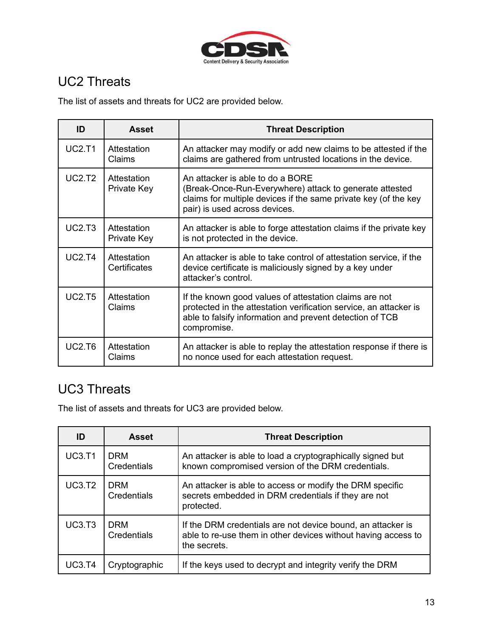

# <span id="page-13-0"></span>UC2 Threats

The list of assets and threats for UC2 are provided below.

| ID            | <b>Asset</b>                | <b>Threat Description</b>                                                                                                                                                                              |
|---------------|-----------------------------|--------------------------------------------------------------------------------------------------------------------------------------------------------------------------------------------------------|
| <b>UC2.T1</b> | Attestation<br>Claims       | An attacker may modify or add new claims to be attested if the<br>claims are gathered from untrusted locations in the device.                                                                          |
| <b>UC2.T2</b> | Attestation<br>Private Key  | An attacker is able to do a BORE<br>(Break-Once-Run-Everywhere) attack to generate attested<br>claims for multiple devices if the same private key (of the key<br>pair) is used across devices.        |
| <b>UC2.T3</b> | Attestation<br>Private Key  | An attacker is able to forge attestation claims if the private key<br>is not protected in the device.                                                                                                  |
| UC2.T4        | Attestation<br>Certificates | An attacker is able to take control of attestation service, if the<br>device certificate is maliciously signed by a key under<br>attacker's control.                                                   |
| <b>UC2.T5</b> | Attestation<br>Claims       | If the known good values of attestation claims are not<br>protected in the attestation verification service, an attacker is<br>able to falsify information and prevent detection of TCB<br>compromise. |
| <b>UC2.T6</b> | Attestation<br>Claims       | An attacker is able to replay the attestation response if there is<br>no nonce used for each attestation request.                                                                                      |

# <span id="page-13-1"></span>UC3 Threats

The list of assets and threats for UC3 are provided below.

| ID            | <b>Asset</b>              | <b>Threat Description</b>                                                                                                                    |
|---------------|---------------------------|----------------------------------------------------------------------------------------------------------------------------------------------|
| <b>UC3.T1</b> | <b>DRM</b><br>Credentials | An attacker is able to load a cryptographically signed but<br>known compromised version of the DRM credentials.                              |
| UC3.T2        | <b>DRM</b><br>Credentials | An attacker is able to access or modify the DRM specific<br>secrets embedded in DRM credentials if they are not<br>protected.                |
| UC3.T3        | <b>DRM</b><br>Credentials | If the DRM credentials are not device bound, an attacker is<br>able to re-use them in other devices without having access to<br>the secrets. |
| UC3.T4        | Cryptographic             | If the keys used to decrypt and integrity verify the DRM                                                                                     |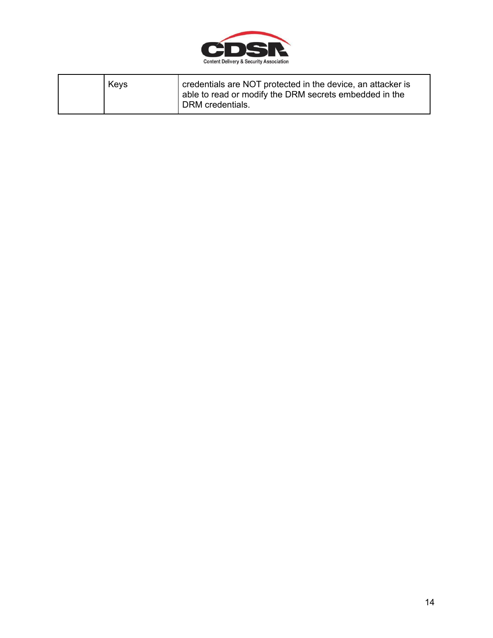

| credentials are NOT protected in the device, an attacker is<br>Keys<br>able to read or modify the DRM secrets embedded in the<br>DRM credentials. |  |
|---------------------------------------------------------------------------------------------------------------------------------------------------|--|
|---------------------------------------------------------------------------------------------------------------------------------------------------|--|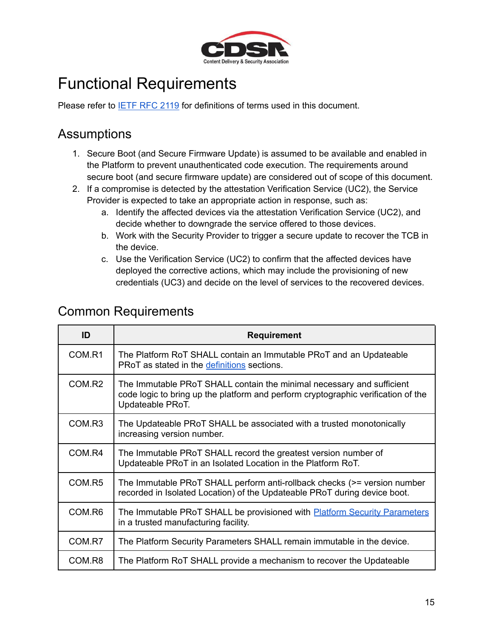

# <span id="page-15-0"></span>Functional Requirements

<span id="page-15-1"></span>Please refer to IETF RFC [2119](https://datatracker.ietf.org/doc/html/rfc2119) for definitions of terms used in this document.

### Assumptions

- 1. Secure Boot (and Secure Firmware Update) is assumed to be available and enabled in the Platform to prevent unauthenticated code execution. The requirements around secure boot (and secure firmware update) are considered out of scope of this document.
- 2. If a compromise is detected by the attestation Verification Service (UC2), the Service Provider is expected to take an appropriate action in response, such as:
	- a. Identify the affected devices via the attestation Verification Service (UC2), and decide whether to downgrade the service offered to those devices.
	- b. Work with the Security Provider to trigger a secure update to recover the TCB in the device.
	- c. Use the Verification Service (UC2) to confirm that the affected devices have deployed the corrective actions, which may include the provisioning of new credentials (UC3) and decide on the level of services to the recovered devices.

| ID     | <b>Requirement</b>                                                                                                                                                             |
|--------|--------------------------------------------------------------------------------------------------------------------------------------------------------------------------------|
| COM.R1 | The Platform RoT SHALL contain an Immutable PRoT and an Updateable<br>PRoT as stated in the definitions sections.                                                              |
| COM.R2 | The Immutable PRoT SHALL contain the minimal necessary and sufficient<br>code logic to bring up the platform and perform cryptographic verification of the<br>Updateable PRoT. |
| COM.R3 | The Updateable PRoT SHALL be associated with a trusted monotonically<br>increasing version number.                                                                             |
| COM.R4 | The Immutable PRoT SHALL record the greatest version number of<br>Updateable PRoT in an Isolated Location in the Platform RoT.                                                 |
| COM.R5 | The Immutable PRoT SHALL perform anti-rollback checks (>= version number<br>recorded in Isolated Location) of the Updateable PRoT during device boot.                          |
| COM.R6 | The Immutable PRoT SHALL be provisioned with <b>Platform Security Parameters</b><br>in a trusted manufacturing facility.                                                       |
| COM.R7 | The Platform Security Parameters SHALL remain immutable in the device.                                                                                                         |
| COM.R8 | The Platform RoT SHALL provide a mechanism to recover the Updateable                                                                                                           |

#### <span id="page-15-2"></span>Common Requirements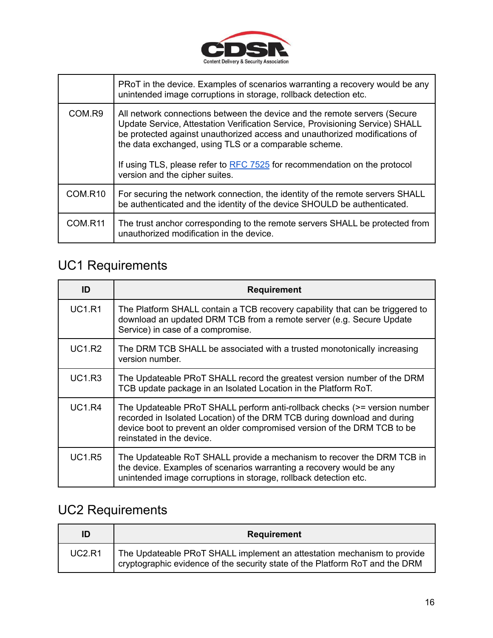

|                     | PRoT in the device. Examples of scenarios warranting a recovery would be any<br>unintended image corruptions in storage, rollback detection etc.                                                                                                                                                                                                                                                                 |
|---------------------|------------------------------------------------------------------------------------------------------------------------------------------------------------------------------------------------------------------------------------------------------------------------------------------------------------------------------------------------------------------------------------------------------------------|
| COM.R9              | All network connections between the device and the remote servers (Secure<br>Update Service, Attestation Verification Service, Provisioning Service) SHALL<br>be protected against unauthorized access and unauthorized modifications of<br>the data exchanged, using TLS or a comparable scheme.<br>If using TLS, please refer to RFC 7525 for recommendation on the protocol<br>version and the cipher suites. |
| COM.R10             | For securing the network connection, the identity of the remote servers SHALL<br>be authenticated and the identity of the device SHOULD be authenticated.                                                                                                                                                                                                                                                        |
| COM.R <sub>11</sub> | The trust anchor corresponding to the remote servers SHALL be protected from<br>unauthorized modification in the device.                                                                                                                                                                                                                                                                                         |

# <span id="page-16-0"></span>UC1 Requirements

| ID            | <b>Requirement</b>                                                                                                                                                                                                                                             |  |
|---------------|----------------------------------------------------------------------------------------------------------------------------------------------------------------------------------------------------------------------------------------------------------------|--|
| <b>UC1.R1</b> | The Platform SHALL contain a TCB recovery capability that can be triggered to<br>download an updated DRM TCB from a remote server (e.g. Secure Update<br>Service) in case of a compromise.                                                                     |  |
| <b>UC1.R2</b> | The DRM TCB SHALL be associated with a trusted monotonically increasing<br>version number.                                                                                                                                                                     |  |
| <b>UC1.R3</b> | The Updateable PRoT SHALL record the greatest version number of the DRM<br>TCB update package in an Isolated Location in the Platform RoT.                                                                                                                     |  |
| <b>UC1.R4</b> | The Updateable PRoT SHALL perform anti-rollback checks (>= version number<br>recorded in Isolated Location) of the DRM TCB during download and during<br>device boot to prevent an older compromised version of the DRM TCB to be<br>reinstated in the device. |  |
| <b>UC1.R5</b> | The Updateable RoT SHALL provide a mechanism to recover the DRM TCB in<br>the device. Examples of scenarios warranting a recovery would be any<br>unintended image corruptions in storage, rollback detection etc.                                             |  |

# <span id="page-16-1"></span>UC2 Requirements

| ID     | <b>Requirement</b>                                                                                                                                      |
|--------|---------------------------------------------------------------------------------------------------------------------------------------------------------|
| UC2.R1 | The Updateable PRoT SHALL implement an attestation mechanism to provide<br>cryptographic evidence of the security state of the Platform RoT and the DRM |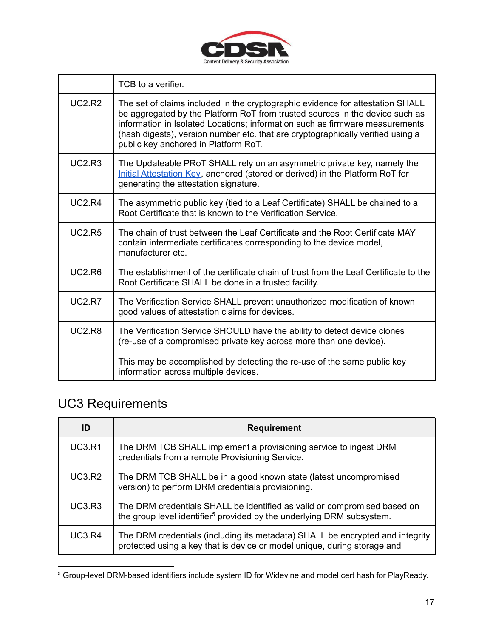

|               | TCB to a verifier.                                                                                                                                                                                                                                                                                                                                                        |  |
|---------------|---------------------------------------------------------------------------------------------------------------------------------------------------------------------------------------------------------------------------------------------------------------------------------------------------------------------------------------------------------------------------|--|
| <b>UC2.R2</b> | The set of claims included in the cryptographic evidence for attestation SHALL<br>be aggregated by the Platform RoT from trusted sources in the device such as<br>information in Isolated Locations; information such as firmware measurements<br>(hash digests), version number etc. that are cryptographically verified using a<br>public key anchored in Platform RoT. |  |
| UC2.R3        | The Updateable PRoT SHALL rely on an asymmetric private key, namely the<br>Initial Attestation Key, anchored (stored or derived) in the Platform RoT for<br>generating the attestation signature.                                                                                                                                                                         |  |
| UC2.R4        | The asymmetric public key (tied to a Leaf Certificate) SHALL be chained to a<br>Root Certificate that is known to the Verification Service.                                                                                                                                                                                                                               |  |
| <b>UC2.R5</b> | The chain of trust between the Leaf Certificate and the Root Certificate MAY<br>contain intermediate certificates corresponding to the device model,<br>manufacturer etc.                                                                                                                                                                                                 |  |
| <b>UC2.R6</b> | The establishment of the certificate chain of trust from the Leaf Certificate to the<br>Root Certificate SHALL be done in a trusted facility.                                                                                                                                                                                                                             |  |
| <b>UC2.R7</b> | The Verification Service SHALL prevent unauthorized modification of known<br>good values of attestation claims for devices.                                                                                                                                                                                                                                               |  |
| <b>UC2.R8</b> | The Verification Service SHOULD have the ability to detect device clones<br>(re-use of a compromised private key across more than one device).                                                                                                                                                                                                                            |  |
|               | This may be accomplished by detecting the re-use of the same public key<br>information across multiple devices.                                                                                                                                                                                                                                                           |  |

# <span id="page-17-0"></span>UC3 Requirements

| ID            | <b>Requirement</b>                                                                                                                                            |
|---------------|---------------------------------------------------------------------------------------------------------------------------------------------------------------|
| <b>UC3.R1</b> | The DRM TCB SHALL implement a provisioning service to ingest DRM<br>credentials from a remote Provisioning Service.                                           |
| <b>UC3.R2</b> | The DRM TCB SHALL be in a good known state (latest uncompromised<br>version) to perform DRM credentials provisioning.                                         |
| <b>UC3.R3</b> | The DRM credentials SHALL be identified as valid or compromised based on<br>the group level identifier <sup>5</sup> provided by the underlying DRM subsystem. |
| <b>UC3.R4</b> | The DRM credentials (including its metadata) SHALL be encrypted and integrity<br>protected using a key that is device or model unique, during storage and     |

<sup>5</sup> Group-level DRM-based identifiers include system ID for Widevine and model cert hash for PlayReady.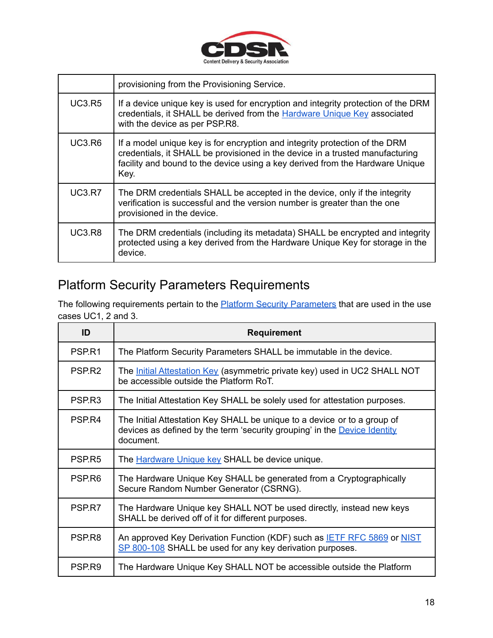

|               | provisioning from the Provisioning Service.                                                                                                                                                                                                           |  |
|---------------|-------------------------------------------------------------------------------------------------------------------------------------------------------------------------------------------------------------------------------------------------------|--|
| <b>UC3.R5</b> | If a device unique key is used for encryption and integrity protection of the DRM<br>credentials, it SHALL be derived from the Hardware Unique Key associated<br>with the device as per PSP.R8.                                                       |  |
| <b>UC3.R6</b> | If a model unique key is for encryption and integrity protection of the DRM<br>credentials, it SHALL be provisioned in the device in a trusted manufacturing<br>facility and bound to the device using a key derived from the Hardware Unique<br>Key. |  |
| <b>UC3.R7</b> | The DRM credentials SHALL be accepted in the device, only if the integrity<br>verification is successful and the version number is greater than the one<br>provisioned in the device.                                                                 |  |
| <b>UC3.R8</b> | The DRM credentials (including its metadata) SHALL be encrypted and integrity<br>protected using a key derived from the Hardware Unique Key for storage in the<br>device.                                                                             |  |

# <span id="page-18-0"></span>Platform Security Parameters Requirements

The following requirements pertain to the **Platform Security [Parameters](#page-8-0)** that are used in the use cases UC1, 2 and 3.

| ID                 | <b>Requirement</b>                                                                                                                                                 |  |
|--------------------|--------------------------------------------------------------------------------------------------------------------------------------------------------------------|--|
| PSP.R1             | The Platform Security Parameters SHALL be immutable in the device.                                                                                                 |  |
| PSP <sub>R2</sub>  | The Initial Attestation Key (asymmetric private key) used in UC2 SHALL NOT<br>be accessible outside the Platform RoT.                                              |  |
| PSP <sub>R3</sub>  | The Initial Attestation Key SHALL be solely used for attestation purposes.                                                                                         |  |
| PSP.R4             | The Initial Attestation Key SHALL be unique to a device or to a group of<br>devices as defined by the term 'security grouping' in the Device Identity<br>document. |  |
| PSP <sub>R5</sub>  | The <b>Hardware Unique key SHALL be device unique.</b>                                                                                                             |  |
| PSP.R <sub>6</sub> | The Hardware Unique Key SHALL be generated from a Cryptographically<br>Secure Random Number Generator (CSRNG).                                                     |  |
| PSP.R7             | The Hardware Unique key SHALL NOT be used directly, instead new keys<br>SHALL be derived off of it for different purposes.                                         |  |
| PSP <sub>R8</sub>  | An approved Key Derivation Function (KDF) such as <b>IETF RFC 5869</b> or <b>NIST</b><br>SP 800-108 SHALL be used for any key derivation purposes.                 |  |
| PSP.R9             | The Hardware Unique Key SHALL NOT be accessible outside the Platform                                                                                               |  |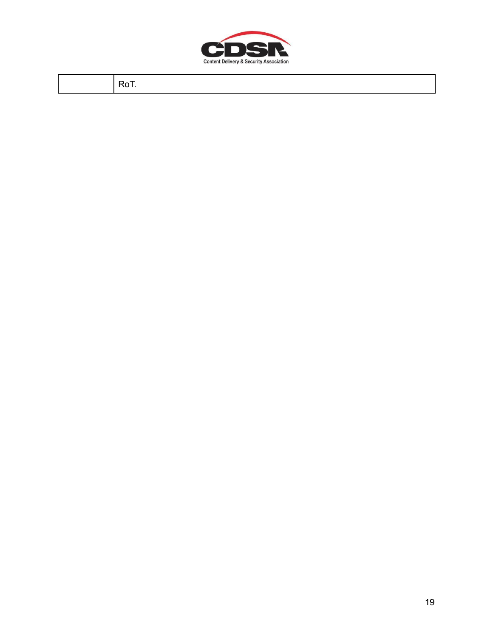

RoT.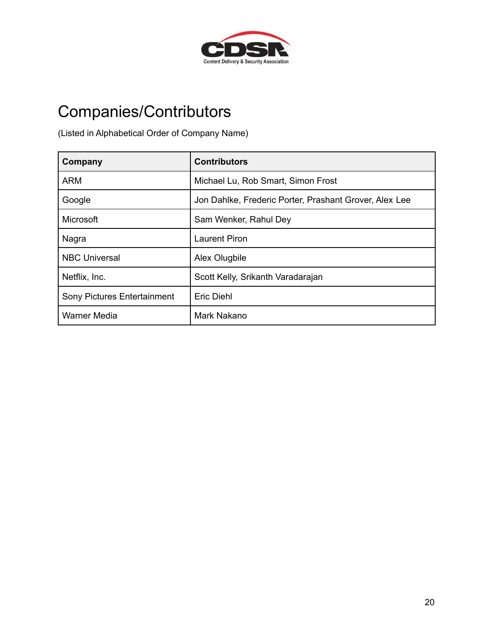

# <span id="page-20-0"></span>Companies/Contributors

(Listed in Alphabetical Order of Company Name)

| Company                            | <b>Contributors</b>                                    |
|------------------------------------|--------------------------------------------------------|
| <b>ARM</b>                         | Michael Lu, Rob Smart, Simon Frost                     |
| Google                             | Jon Dahlke, Frederic Porter, Prashant Grover, Alex Lee |
| Microsoft                          | Sam Wenker, Rahul Dey                                  |
| Nagra                              | <b>Laurent Piron</b>                                   |
| <b>NBC Universal</b>               | Alex Olugbile                                          |
| Netflix, Inc.                      | Scott Kelly, Srikanth Varadarajan                      |
| <b>Sony Pictures Entertainment</b> | Eric Diehl                                             |
| <b>Warner Media</b>                | Mark Nakano                                            |